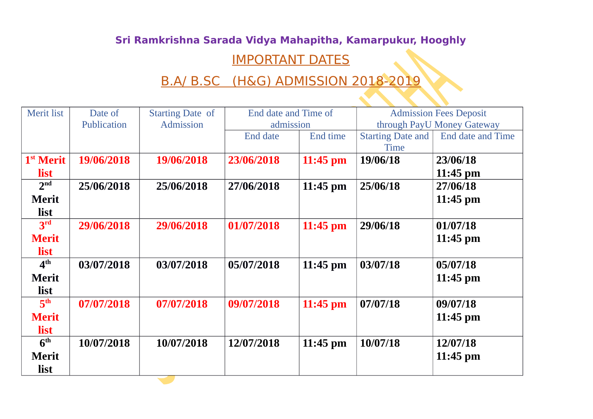## **Sri Ramkrishna Sarada Vidya Mahapitha, Kamarpukur, Hooghly**

## IMPORTANT DATES

## B.A/ B.SC (H&G) ADMISSION 2018-2019

| <b>Merit list</b>     | Date of     | <b>Starting Date of</b> | End date and Time of |            | <b>Admission Fees Deposit</b> |                   |
|-----------------------|-------------|-------------------------|----------------------|------------|-------------------------------|-------------------|
|                       | Publication | Admission               | admission            |            | through PayU Money Gateway    |                   |
|                       |             |                         | End date             | End time   | <b>Starting Date and</b>      | End date and Time |
|                       |             |                         |                      |            | <b>Time</b>                   |                   |
| 1 <sup>st</sup> Merit | 19/06/2018  | 19/06/2018              | 23/06/2018           | $11:45$ pm | 19/06/18                      | 23/06/18          |
| list                  |             |                         |                      |            |                               | $11:45$ pm        |
| 2 <sup>nd</sup>       | 25/06/2018  | 25/06/2018              | 27/06/2018           | $11:45$ pm | 25/06/18                      | 27/06/18          |
| <b>Merit</b>          |             |                         |                      |            |                               | $11:45$ pm        |
| list                  |             |                         |                      |            |                               |                   |
| 3 <sup>rd</sup>       | 29/06/2018  | 29/06/2018              | 01/07/2018           | $11:45$ pm | 29/06/18                      | 01/07/18          |
| <b>Merit</b>          |             |                         |                      |            |                               | 11:45 pm          |
| list                  |             |                         |                      |            |                               |                   |
| 4 <sup>th</sup>       | 03/07/2018  | 03/07/2018              | 05/07/2018           | $11:45$ pm | 03/07/18                      | 05/07/18          |
| <b>Merit</b>          |             |                         |                      |            |                               | $11:45$ pm        |
| list                  |             |                         |                      |            |                               |                   |
| 5 <sup>th</sup>       | 07/07/2018  | 07/07/2018              | 09/07/2018           | $11:45$ pm | 07/07/18                      | 09/07/18          |
| <b>Merit</b>          |             |                         |                      |            |                               | $11:45$ pm        |
| list                  |             |                         |                      |            |                               |                   |
| 6 <sup>th</sup>       | 10/07/2018  | 10/07/2018              | 12/07/2018           | $11:45$ pm | 10/07/18                      | 12/07/18          |
| <b>Merit</b>          |             |                         |                      |            |                               | $11:45$ pm        |
| list                  |             |                         |                      |            |                               |                   |